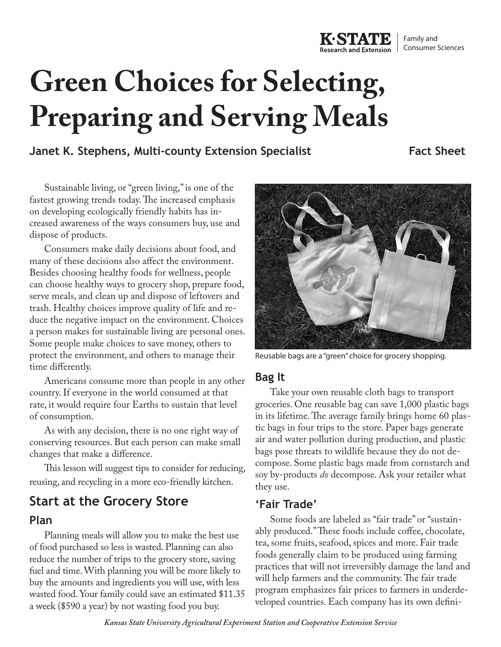# **Green Choices for Selecting, Preparing and Serving Meals**

## **Janet K. Stephens, Multi-county Extension Specialist**

Sustainable living, or "green living," is one of the fastest growing trends today. The increased emphasis on developing ecologically friendly habits has increased awareness of the ways consumers buy, use and dispose of products.

Consumers make daily decisions about food, and many of these decisions also affect the environment. Besides choosing healthy foods for wellness, people can choose healthy ways to grocery shop, prepare food, serve meals, and clean up and dispose of leftovers and trash. Healthy choices improve quality of life and reduce the negative impact on the environment. Choices a person makes for sustainable living are personal ones. Some people make choices to save money, others to protect the environment, and others to manage their time differently.

Americans consume more than people in any other country. If everyone in the world consumed at that rate, it would require four Earths to sustain that level of consumption.

As with any decision, there is no one right way of conserving resources. But each person can make small changes that make a difference.

This lesson will suggest tips to consider for reducing, reusing, and recycling in a more eco-friendly kitchen.

## **Start at the Grocery Store**

#### **Plan**

Planning meals will allow you to make the best use of food purchased so less is wasted. Planning can also reduce the number of trips to the grocery store, saving fuel and time. With planning you will be more likely to buy the amounts and ingredients you will use, with less wasted food. Your family could save an estimated \$11.35 a week (\$590 a year) by not wasting food you buy.

Reusable bags are a "green" choice for grocery shopping.

#### **Bag It**

Take your own reusable cloth bags to transport groceries. One reusable bag can save 1,000 plastic bags in its lifetime. The average family brings home 60 plastic bags in four trips to the store. Paper bags generate air and water pollution during production, and plastic bags pose threats to wildlife because they do not decompose. Some plastic bags made from cornstarch and soy by-products *do* decompose. Ask your retailer what they use.

#### **'Fair Trade'**

Some foods are labeled as "fair trade" or "sustainably produced." These foods include coffee, chocolate, tea, some fruits, seafood, spices and more. Fair trade foods generally claim to be produced using farming practices that will not irreversibly damage the land and will help farmers and the community. The fair trade program emphasizes fair prices to farmers in underdeveloped countries. Each company has its own defini-



**Fact Sheet**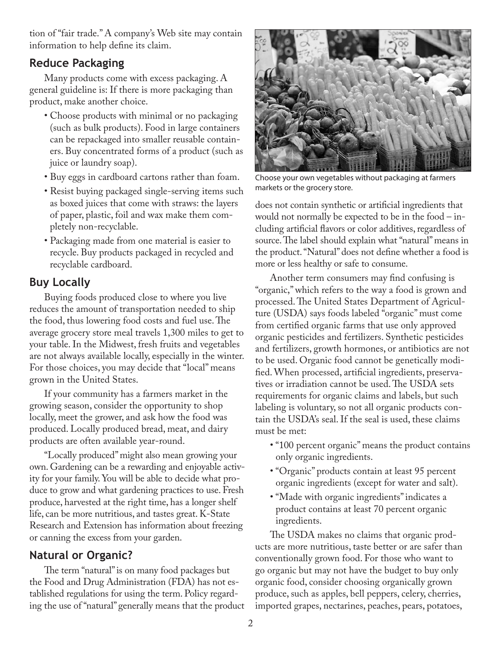tion of "fair trade." A company's Web site may contain information to help define its claim.

#### **Reduce Packaging**

Many products come with excess packaging. A general guideline is: If there is more packaging than product, make another choice.

- Choose products with minimal or no packaging (such as bulk products). Food in large containers can be repackaged into smaller reusable containers. Buy concentrated forms of a product (such as juice or laundry soap).
- Buy eggs in cardboard cartons rather than foam.
- Resist buying packaged single-serving items such as boxed juices that come with straws: the layers of paper, plastic, foil and wax make them completely non-recyclable.
- Packaging made from one material is easier to recycle. Buy products packaged in recycled and recyclable cardboard.

### **Buy Locally**

Buying foods produced close to where you live reduces the amount of transportation needed to ship the food, thus lowering food costs and fuel use. The average grocery store meal travels 1,300 miles to get to your table. In the Midwest, fresh fruits and vegetables are not always available locally, especially in the winter. For those choices, you may decide that "local" means grown in the United States.

If your community has a farmers market in the growing season, consider the opportunity to shop locally, meet the grower, and ask how the food was produced. Locally produced bread, meat, and dairy products are often available year-round.

"Locally produced" might also mean growing your own. Gardening can be a rewarding and enjoyable activity for your family. You will be able to decide what produce to grow and what gardening practices to use. Fresh produce, harvested at the right time, has a longer shelf life, can be more nutritious, and tastes great. K-State Research and Extension has information about freezing or canning the excess from your garden.

## **Natural or Organic?**

The term "natural" is on many food packages but the Food and Drug Administration (FDA) has not established regulations for using the term. Policy regarding the use of "natural" generally means that the product



Choose your own vegetables without packaging at farmers markets or the grocery store.

does not contain synthetic or artificial ingredients that would not normally be expected to be in the food – including artificial flavors or color additives, regardless of source. The label should explain what "natural" means in the product. "Natural" does not define whether a food is more or less healthy or safe to consume.

Another term consumers may find confusing is "organic," which refers to the way a food is grown and processed. The United States Department of Agriculture (USDA) says foods labeled "organic" must come from certified organic farms that use only approved organic pesticides and fertilizers. Synthetic pesticides and fertilizers, growth hormones, or antibiotics are not to be used. Organic food cannot be genetically modified. When processed, artificial ingredients, preservatives or irradiation cannot be used. The USDA sets requirements for organic claims and labels, but such labeling is voluntary, so not all organic products contain the USDA's seal. If the seal is used, these claims must be met:

- "100 percent organic" means the product contains only organic ingredients.
- "Organic" products contain at least 95 percent organic ingredients (except for water and salt).
- "Made with organic ingredients" indicates a product contains at least 70 percent organic ingredients.

The USDA makes no claims that organic products are more nutritious, taste better or are safer than conventionally grown food. For those who want to go organic but may not have the budget to buy only organic food, consider choosing organically grown produce, such as apples, bell peppers, celery, cherries, imported grapes, nectarines, peaches, pears, potatoes,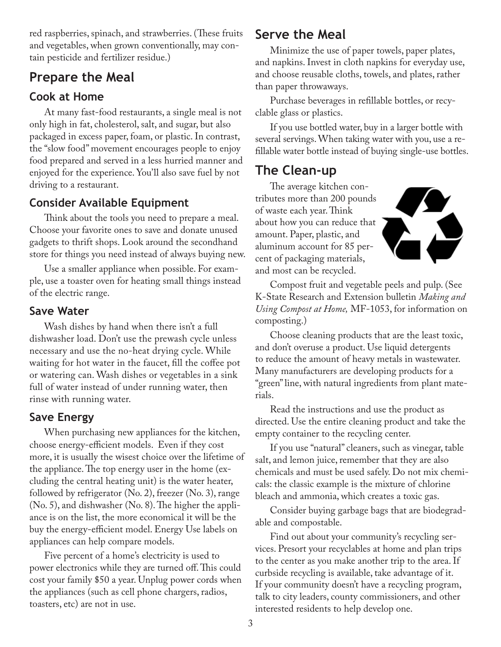red raspberries, spinach, and strawberries. (These fruits and vegetables, when grown conventionally, may contain pesticide and fertilizer residue.)

## **Prepare the Meal**

## **Cook at Home**

At many fast-food restaurants, a single meal is not only high in fat, cholesterol, salt, and sugar, but also packaged in excess paper, foam, or plastic. In contrast, the "slow food" movement encourages people to enjoy food prepared and served in a less hurried manner and enjoyed for the experience. You'll also save fuel by not driving to a restaurant.

## **Consider Available Equipment**

Think about the tools you need to prepare a meal. Choose your favorite ones to save and donate unused gadgets to thrift shops. Look around the secondhand store for things you need instead of always buying new.

Use a smaller appliance when possible. For example, use a toaster oven for heating small things instead of the electric range.

### **Save Water**

Wash dishes by hand when there isn't a full dishwasher load. Don't use the prewash cycle unless necessary and use the no-heat drying cycle. While waiting for hot water in the faucet, fill the coffee pot or watering can. Wash dishes or vegetables in a sink full of water instead of under running water, then rinse with running water.

## **Save Energy**

When purchasing new appliances for the kitchen, choose energy-efficient models. Even if they cost more, it is usually the wisest choice over the lifetime of the appliance. The top energy user in the home (excluding the central heating unit) is the water heater, followed by refrigerator (No. 2), freezer (No. 3), range (No. 5), and dishwasher (No. 8). The higher the appliance is on the list, the more economical it will be the buy the energy-efficient model. Energy Use labels on appliances can help compare models.

Five percent of a home's electricity is used to power electronics while they are turned off. This could cost your family \$50 a year. Unplug power cords when the appliances (such as cell phone chargers, radios, toasters, etc) are not in use.

## **Serve the Meal**

Minimize the use of paper towels, paper plates, and napkins. Invest in cloth napkins for everyday use, and choose reusable cloths, towels, and plates, rather than paper throwaways.

Purchase beverages in refillable bottles, or recyclable glass or plastics.

If you use bottled water, buy in a larger bottle with several servings. When taking water with you, use a refillable water bottle instead of buying single-use bottles.

## **The Clean-up**

The average kitchen contributes more than 200 pounds of waste each year. Think about how you can reduce that amount. Paper, plastic, and aluminum account for 85 percent of packaging materials, and most can be recycled.



Compost fruit and vegetable peels and pulp. (See K-State Research and Extension bulletin *Making and Using Compost at Home,* MF-1053, for information on composting.)

Choose cleaning products that are the least toxic, and don't overuse a product. Use liquid detergents to reduce the amount of heavy metals in wastewater. Many manufacturers are developing products for a "green" line, with natural ingredients from plant materials.

Read the instructions and use the product as directed. Use the entire cleaning product and take the empty container to the recycling center.

If you use "natural" cleaners, such as vinegar, table salt, and lemon juice, remember that they are also chemicals and must be used safely. Do not mix chemicals: the classic example is the mixture of chlorine bleach and ammonia, which creates a toxic gas.

Consider buying garbage bags that are biodegradable and compostable.

Find out about your community's recycling services. Presort your recyclables at home and plan trips to the center as you make another trip to the area. If curbside recycling is available, take advantage of it. If your community doesn't have a recycling program, talk to city leaders, county commissioners, and other interested residents to help develop one.